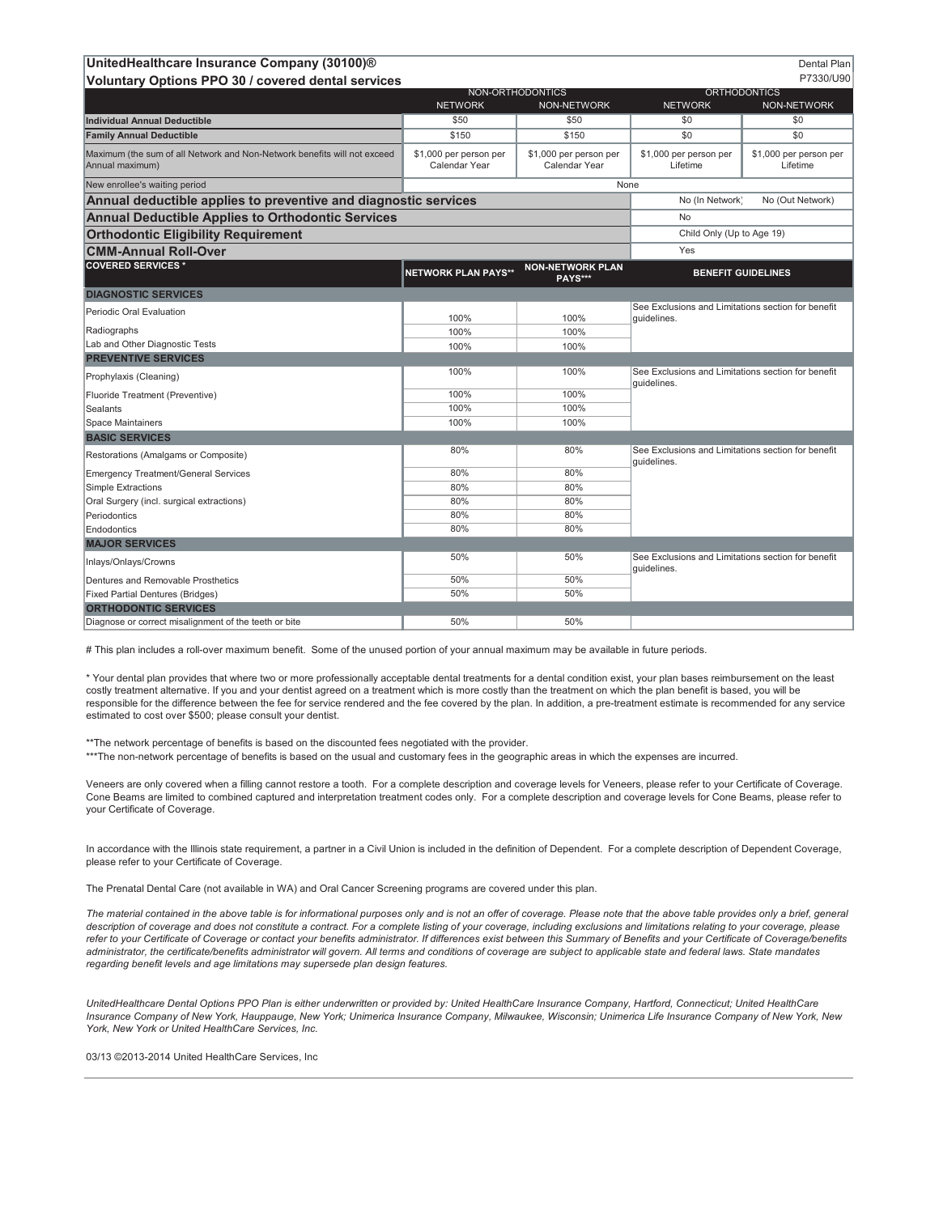| UnitedHealthcare Insurance Company (30100)®                                                 |                                         |                                         |                                                                   | Dental Plan                        |
|---------------------------------------------------------------------------------------------|-----------------------------------------|-----------------------------------------|-------------------------------------------------------------------|------------------------------------|
| Voluntary Options PPO 30 / covered dental services                                          |                                         |                                         |                                                                   | P7330/U90                          |
|                                                                                             | NON-ORTHODONTICS<br><b>NETWORK</b>      | <b>NON-NETWORK</b>                      | <b>ORTHODONTICS</b><br><b>NETWORK</b><br><b>NON-NETWORK</b>       |                                    |
| <b>Individual Annual Deductible</b>                                                         | \$50                                    | \$50                                    | \$0                                                               | \$0                                |
| <b>Family Annual Deductible</b>                                                             | \$150                                   | \$150                                   | \$0                                                               | \$0                                |
| Maximum (the sum of all Network and Non-Network benefits will not exceed<br>Annual maximum) | \$1,000 per person per<br>Calendar Year | \$1,000 per person per<br>Calendar Year | \$1,000 per person per<br>Lifetime                                | \$1,000 per person per<br>Lifetime |
| New enrollee's waiting period                                                               | None                                    |                                         |                                                                   |                                    |
| Annual deductible applies to preventive and diagnostic services                             |                                         |                                         | No (In Network)                                                   | No (Out Network)                   |
| <b>Annual Deductible Applies to Orthodontic Services</b>                                    |                                         |                                         | No                                                                |                                    |
| <b>Orthodontic Eligibility Requirement</b>                                                  |                                         |                                         | Child Only (Up to Age 19)                                         |                                    |
| <b>CMM-Annual Roll-Over</b>                                                                 |                                         |                                         | Yes                                                               |                                    |
| <b>COVERED SERVICES*</b>                                                                    | <b>NETWORK PLAN PAYS**</b>              | <b>NON-NETWORK PLAN</b><br>PAYS***      | <b>BENEFIT GUIDELINES</b>                                         |                                    |
| <b>DIAGNOSTIC SERVICES</b>                                                                  |                                         |                                         |                                                                   |                                    |
| Periodic Oral Evaluation                                                                    | 100%                                    | 100%                                    | See Exclusions and Limitations section for benefit<br>quidelines. |                                    |
| Radiographs                                                                                 | 100%                                    | 100%                                    |                                                                   |                                    |
| Lab and Other Diagnostic Tests                                                              | 100%                                    | 100%                                    |                                                                   |                                    |
| <b>PREVENTIVE SERVICES</b>                                                                  |                                         |                                         |                                                                   |                                    |
| Prophylaxis (Cleaning)                                                                      | 100%                                    | 100%                                    | See Exclusions and Limitations section for benefit<br>quidelines. |                                    |
| Fluoride Treatment (Preventive)                                                             | 100%                                    | 100%                                    |                                                                   |                                    |
| Sealants                                                                                    | 100%                                    | 100%                                    |                                                                   |                                    |
| Space Maintainers                                                                           | 100%                                    | 100%                                    |                                                                   |                                    |
| <b>BASIC SERVICES</b>                                                                       |                                         |                                         |                                                                   |                                    |
| Restorations (Amalgams or Composite)                                                        | 80%                                     | 80%                                     | See Exclusions and Limitations section for benefit<br>quidelines. |                                    |
| <b>Emergency Treatment/General Services</b>                                                 | 80%                                     | 80%                                     |                                                                   |                                    |
| Simple Extractions                                                                          | 80%                                     | 80%                                     |                                                                   |                                    |
| Oral Surgery (incl. surgical extractions)                                                   | 80%                                     | 80%                                     |                                                                   |                                    |
| Periodontics                                                                                | 80%                                     | 80%                                     |                                                                   |                                    |
| Endodontics                                                                                 | 80%                                     | 80%                                     |                                                                   |                                    |
| <b>MAJOR SERVICES</b>                                                                       | 50%                                     | 50%                                     |                                                                   |                                    |
| Inlays/Onlays/Crowns                                                                        |                                         |                                         | See Exclusions and Limitations section for benefit<br>guidelines. |                                    |
| Dentures and Removable Prosthetics                                                          | 50%                                     | 50%                                     |                                                                   |                                    |
| <b>Fixed Partial Dentures (Bridges)</b>                                                     | 50%                                     | 50%                                     |                                                                   |                                    |
| <b>ORTHODONTIC SERVICES</b>                                                                 |                                         |                                         |                                                                   |                                    |
| Diagnose or correct misalignment of the teeth or bite                                       | 50%                                     | 50%                                     |                                                                   |                                    |

# This plan includes a roll-over maximum benefit. Some of the unused portion of your annual maximum may be available in future periods.

\* Your dental plan provides that where two or more professionally acceptable dental treatments for a dental condition exist, your plan bases reimbursement on the least costly treatment alternative. If you and your dentist agreed on a treatment which is more costly than the treatment on which the plan benefit is based, you will be responsible for the difference between the fee for service rendered and the fee covered by the plan. In addition, a pre-treatment estimate is recommended for any service estimated to cost over \$500; please consult your dentist.

\*\*The network percentage of benefits is based on the discounted fees negotiated with the provider. \*\*\*The non-network percentage of benefits is based on the usual and customary fees in the geographic areas in which the expenses are incurred.

Veneers are only covered when a filling cannot restore a tooth. For a complete description and coverage levels for Veneers, please refer to your Certificate of Coverage. Cone Beams are limited to combined captured and interpretation treatment codes only. For a complete description and coverage levels for Cone Beams, please refer to your Certificate of Coverage.

In accordance with the Illinois state requirement, a partner in a Civil Union is included in the definition of Dependent. For a complete description of Dependent Coverage, please refer to your Certificate of Coverage.

The Prenatal Dental Care (not available in WA) and Oral Cancer Screening programs are covered under this plan.

*The material contained in the above table is for informational purposes only and is not an offer of coverage. Please note that the above table provides only a brief, general description of coverage and does not constitute a contract. For a complete listing of your coverage, including exclusions and limitations relating to your coverage, please*  refer to your Certificate of Coverage or contact your benefits administrator. If differences exist between this Summary of Benefits and your Certificate of Coverage/benefits *administrator, the certificate/benefits administrator will govern. All terms and conditions of coverage are subject to applicable state and federal laws. State mandates regarding benefit levels and age limitations may supersede plan design features.*

UnitedHealthcare Dental Options PPO Plan is either underwritten or provided by: United HealthCare Insurance Company, Hartford, Connecticut; United HealthCare *Insurance Company of New York, Hauppauge, New York; Unimerica Insurance Company, Milwaukee, Wisconsin; Unimerica Life Insurance Company of New York, New York, New York or United HealthCare Services, Inc.*

03/13 ©2013-2014 United HealthCare Services, Inc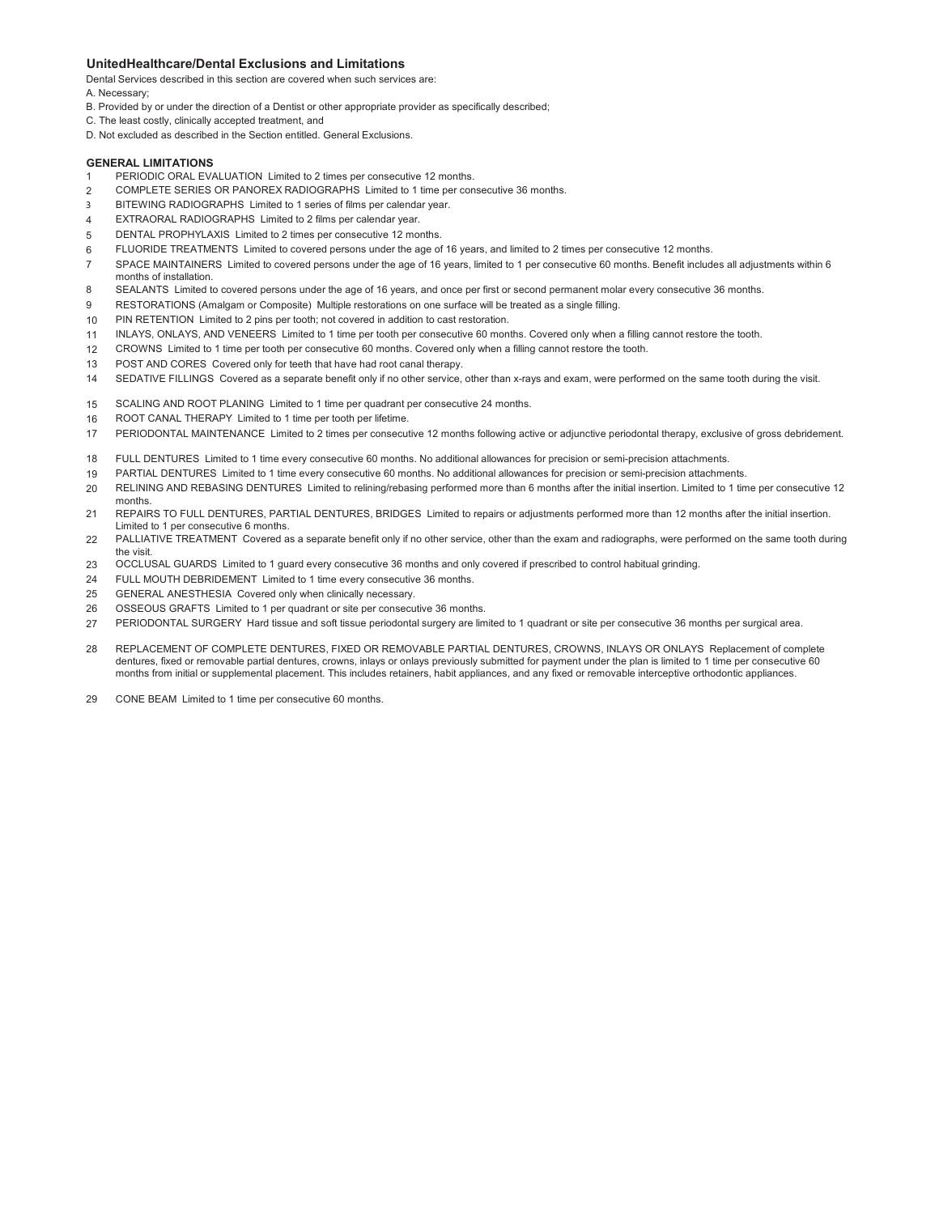## **UnitedHealthcare/Dental Exclusions and Limitations**

Dental Services described in this section are covered when such services are:

- A. Necessary;
- B. Provided by or under the direction of a Dentist or other appropriate provider as specifically described;
- C. The least costly, clinically accepted treatment, and
- D. Not excluded as described in the Section entitled. General Exclusions.

## **GENERAL LIMITATIONS**

- 1 PERIODIC ORAL EVALUATION Limited to 2 times per consecutive 12 months.
- $\mathfrak{p}$ COMPLETE SERIES OR PANOREX RADIOGRAPHS Limited to 1 time per consecutive 36 months.
- 3 BITEWING RADIOGRAPHS Limited to 1 series of films per calendar year.
- 4 EXTRAORAL RADIOGRAPHS Limited to 2 films per calendar year.
- 5 DENTAL PROPHYLAXIS Limited to 2 times per consecutive 12 months.
- 6 FLUORIDE TREATMENTS Limited to covered persons under the age of 16 years, and limited to 2 times per consecutive 12 months.
- 7 SPACE MAINTAINERS Limited to covered persons under the age of 16 years, limited to 1 per consecutive 60 months. Benefit includes all adjustments within 6 months of installation.
- 8 SEALANTS Limited to covered persons under the age of 16 years, and once per first or second permanent molar every consecutive 36 months.
- 9 RESTORATIONS (Amalgam or Composite) Multiple restorations on one surface will be treated as a single filling.
- 10 PIN RETENTION Limited to 2 pins per tooth; not covered in addition to cast restoration.
- 11 INLAYS, ONLAYS, AND VENEERS Limited to 1 time per tooth per consecutive 60 months. Covered only when a filling cannot restore the tooth.
- 12 CROWNS Limited to 1 time per tooth per consecutive 60 months. Covered only when a filling cannot restore the tooth.
- 13 POST AND CORES Covered only for teeth that have had root canal therapy.
- 14 SEDATIVE FILLINGS Covered as a separate benefit only if no other service, other than x-rays and exam, were performed on the same tooth during the visit.
- 15 SCALING AND ROOT PLANING Limited to 1 time per quadrant per consecutive 24 months.
- 16 ROOT CANAL THERAPY Limited to 1 time per tooth per lifetime.
- 17 PERIODONTAL MAINTENANCE Limited to 2 times per consecutive 12 months following active or adjunctive periodontal therapy, exclusive of gross debridement.
- 18 FULL DENTURES Limited to 1 time every consecutive 60 months. No additional allowances for precision or semi-precision attachments.
- 19 PARTIAL DENTURES Limited to 1 time every consecutive 60 months. No additional allowances for precision or semi-precision attachments.
- 20 RELINING AND REBASING DENTURES Limited to relining/rebasing performed more than 6 months after the initial insertion. Limited to 1 time per consecutive 12 months.
- 21 REPAIRS TO FULL DENTURES, PARTIAL DENTURES, BRIDGES Limited to repairs or adjustments performed more than 12 months after the initial insertion. Limited to 1 per consecutive 6 months.
- 22 PALLIATIVE TREATMENT Covered as a separate benefit only if no other service, other than the exam and radiographs, were performed on the same tooth during the visit.
- 23 OCCLUSAL GUARDS Limited to 1 guard every consecutive 36 months and only covered if prescribed to control habitual grinding.
- $24$ FULL MOUTH DEBRIDEMENT Limited to 1 time every consecutive 36 months.
- 25 GENERAL ANESTHESIA Covered only when clinically necessary.
- 26 OSSEOUS GRAFTS Limited to 1 per quadrant or site per consecutive 36 months.
- 27 PERIODONTAL SURGERY Hard tissue and soft tissue periodontal surgery are limited to 1 quadrant or site per consecutive 36 months per surgical area.
- 28 REPLACEMENT OF COMPLETE DENTURES, FIXED OR REMOVABLE PARTIAL DENTURES, CROWNS, INLAYS OR ONLAYS Replacement of complete dentures, fixed or removable partial dentures, crowns, inlays or onlays previously submitted for payment under the plan is limited to 1 time per consecutive 60 months from initial or supplemental placement. This includes retainers, habit appliances, and any fixed or removable interceptive orthodontic appliances.
- 29 CONE BEAM Limited to 1 time per consecutive 60 months.